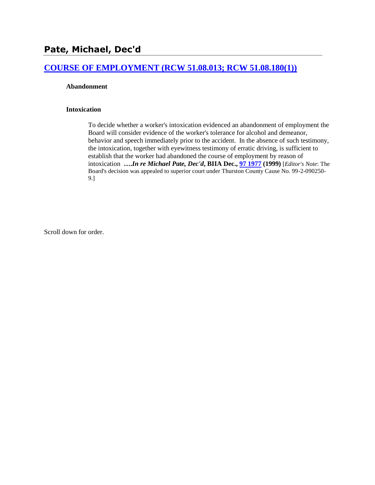## **[COURSE OF EMPLOYMENT \(RCW 51.08.013; RCW 51.08.180\(1\)\)](http://www.biia.wa.gov/SDSubjectIndex.html#COURSE_OF_EMPLOYMENT)**

#### **Abandonment**

#### **Intoxication**

To decide whether a worker's intoxication evidenced an abandonment of employment the Board will consider evidence of the worker's tolerance for alcohol and demeanor, behavior and speech immediately prior to the accident. In the absence of such testimony, the intoxication, together with eyewitness testimony of erratic driving, is sufficient to establish that the worker had abandoned the course of employment by reason of intoxication **….***In re Michael Pate, Dec'd***, BIIA Dec., 97 [1977](http://www.biia.wa.gov/significantdecisions/971977.htm) (1999)** [*Editor's Note*: The Board's decision was appealed to superior court under Thurston County Cause No. 99-2-090250- 9.]

Scroll down for order.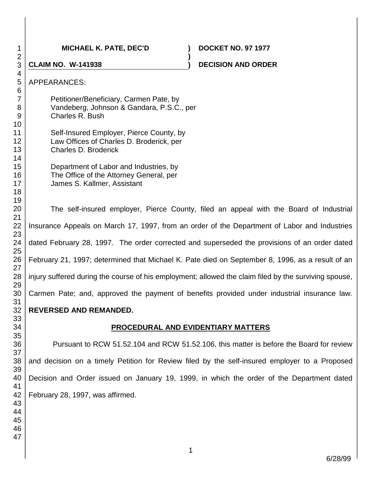## **MICHAEL K. PATE, DEC'D ) DOCKET NO. 97 1977**

# **CLAIM NO. W-141938 ) DECISION AND ORDER**

Vandeberg, Johnson & Gandara, P.S.C., per Charles R. Bush Self-Insured Employer, Pierce County, by Law Offices of Charles D. Broderick, per Charles D. Broderick

Petitioner/Beneficiary, Carmen Pate, by

Department of Labor and Industries, by The Office of the Attorney General, per

James S. Kallmer, Assistant

The self-insured employer, Pierce County, filed an appeal with the Board of Industrial Insurance Appeals on March 17, 1997, from an order of the Department of Labor and Industries dated February 28, 1997. The order corrected and superseded the provisions of an order dated February 21, 1997; determined that Michael K. Pate died on September 8, 1996, as a result of an injury suffered during the course of his employment; allowed the claim filed by the surviving spouse, Carmen Pate; and, approved the payment of benefits provided under industrial insurance law.

**)**

# **REVERSED AND REMANDED.**

# **PROCEDURAL AND EVIDENTIARY MATTERS**

Pursuant to RCW 51.52.104 and RCW 51.52.106, this matter is before the Board for review and decision on a timely Petition for Review filed by the self-insured employer to a Proposed Decision and Order issued on January 19, 1999, in which the order of the Department dated February 28, 1997, was affirmed.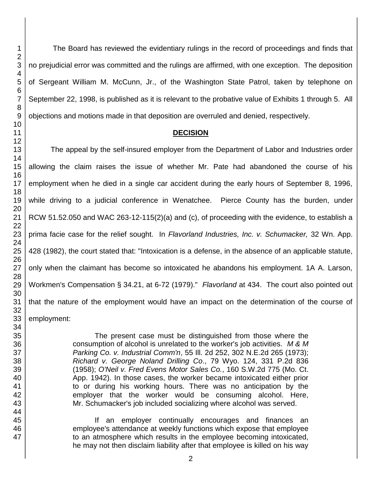The Board has reviewed the evidentiary rulings in the record of proceedings and finds that no prejudicial error was committed and the rulings are affirmed, with one exception. The deposition of Sergeant William M. McCunn, Jr., of the Washington State Patrol, taken by telephone on September 22, 1998, is published as it is relevant to the probative value of Exhibits 1 through 5. All objections and motions made in that deposition are overruled and denied, respectively.

#### **DECISION**

The appeal by the self-insured employer from the Department of Labor and Industries order allowing the claim raises the issue of whether Mr. Pate had abandoned the course of his employment when he died in a single car accident during the early hours of September 8, 1996, while driving to a judicial conference in Wenatchee. Pierce County has the burden, under RCW 51.52.050 and WAC 263-12-115(2)(a) and (c), of proceeding with the evidence, to establish a prima facie case for the relief sought. In *Flavorland Industries, Inc. v. Schumacker,* 32 Wn. App. 428 (1982), the court stated that: "Intoxication is a defense, in the absence of an applicable statute, only when the claimant has become so intoxicated he abandons his employment. 1A A. Larson, Workmen's Compensation § 34.21, at 6-72 (1979)." *Flavorland* at 434. The court also pointed out that the nature of the employment would have an impact on the determination of the course of employment:

> The present case must be distinguished from those where the consumption of alcohol is unrelated to the worker's job activities. *M & M Parking Co. v. Industrial Comm'n*, 55 Ill. 2d 252, 302 N.E.2d 265 (1973); *Richard v. George Noland Drilling Co*., 79 Wyo. 124, 331 P.2d 836 (1958); *O'Neil v. Fred Evens Motor Sales Co.*, 160 S.W.2d 775 (Mo. Ct. App. 1942). In those cases, the worker became intoxicated either prior to or during his working hours. There was no anticipation by the employer that the worker would be consuming alcohol. Here, Mr. Schumacker's job included socializing where alcohol was served.

> If an employer continually encourages and finances an employee's attendance at weekly functions which expose that employee to an atmosphere which results in the employee becoming intoxicated, he may not then disclaim liability after that employee is killed on his way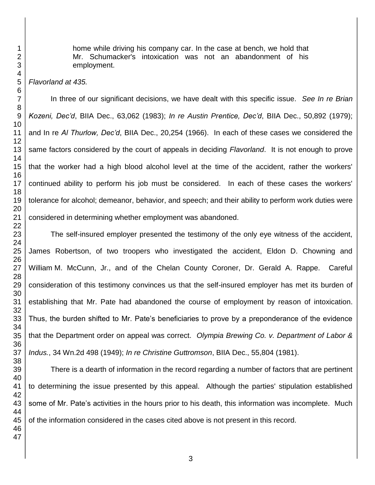home while driving his company car. In the case at bench, we hold that Mr. Schumacker's intoxication was not an abandonment of his employment.

*Flavorland at 435.*

In three of our significant decisions, we have dealt with this specific issue. *See In re Brian Kozeni, Dec'd*, BIIA Dec., 63,062 (1983); *In re Austin Prentice, Dec'd*, BIIA Dec., 50,892 (1979); and In re *Al Thurlow, Dec'd*, BIIA Dec., 20,254 (1966). In each of these cases we considered the same factors considered by the court of appeals in deciding *Flavorland*. It is not enough to prove that the worker had a high blood alcohol level at the time of the accident, rather the workers' continued ability to perform his job must be considered. In each of these cases the workers' tolerance for alcohol; demeanor, behavior, and speech; and their ability to perform work duties were considered in determining whether employment was abandoned.

The self-insured employer presented the testimony of the only eye witness of the accident, James Robertson, of two troopers who investigated the accident, Eldon D. Chowning and William M. McCunn, Jr., and of the Chelan County Coroner, Dr. Gerald A. Rappe. Careful consideration of this testimony convinces us that the self-insured employer has met its burden of establishing that Mr. Pate had abandoned the course of employment by reason of intoxication. Thus, the burden shifted to Mr. Pate's beneficiaries to prove by a preponderance of the evidence that the Department order on appeal was correct. *Olympia Brewing Co. v. Department of Labor & Indus.*, 34 Wn.2d 498 (1949); *In re Christine Guttromson*, BIIA Dec., 55,804 (1981).

There is a dearth of information in the record regarding a number of factors that are pertinent to determining the issue presented by this appeal. Although the parties' stipulation established some of Mr. Pate's activities in the hours prior to his death, this information was incomplete. Much of the information considered in the cases cited above is not present in this record.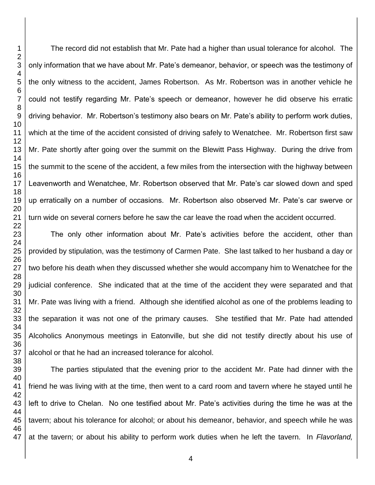The record did not establish that Mr. Pate had a higher than usual tolerance for alcohol. The only information that we have about Mr. Pate's demeanor, behavior, or speech was the testimony of the only witness to the accident, James Robertson. As Mr. Robertson was in another vehicle he could not testify regarding Mr. Pate's speech or demeanor, however he did observe his erratic driving behavior. Mr. Robertson's testimony also bears on Mr. Pate's ability to perform work duties, which at the time of the accident consisted of driving safely to Wenatchee. Mr. Robertson first saw Mr. Pate shortly after going over the summit on the Blewitt Pass Highway. During the drive from the summit to the scene of the accident, a few miles from the intersection with the highway between Leavenworth and Wenatchee, Mr. Robertson observed that Mr. Pate's car slowed down and sped up erratically on a number of occasions. Mr. Robertson also observed Mr. Pate's car swerve or turn wide on several corners before he saw the car leave the road when the accident occurred.

The only other information about Mr. Pate's activities before the accident, other than provided by stipulation, was the testimony of Carmen Pate. She last talked to her husband a day or two before his death when they discussed whether she would accompany him to Wenatchee for the judicial conference. She indicated that at the time of the accident they were separated and that Mr. Pate was living with a friend. Although she identified alcohol as one of the problems leading to the separation it was not one of the primary causes. She testified that Mr. Pate had attended Alcoholics Anonymous meetings in Eatonville, but she did not testify directly about his use of alcohol or that he had an increased tolerance for alcohol.

The parties stipulated that the evening prior to the accident Mr. Pate had dinner with the friend he was living with at the time, then went to a card room and tavern where he stayed until he left to drive to Chelan. No one testified about Mr. Pate's activities during the time he was at the tavern; about his tolerance for alcohol; or about his demeanor, behavior, and speech while he was at the tavern; or about his ability to perform work duties when he left the tavern. In *Flavorland,*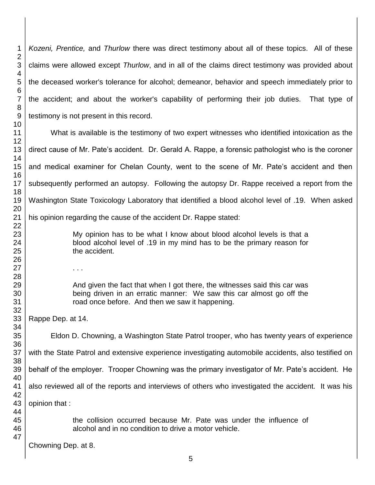*Kozeni, Prentice,* and *Thurlow* there was direct testimony about all of these topics. All of these claims were allowed except *Thurlow*, and in all of the claims direct testimony was provided about the deceased worker's tolerance for alcohol; demeanor, behavior and speech immediately prior to the accident; and about the worker's capability of performing their job duties. That type of testimony is not present in this record. What is available is the testimony of two expert witnesses who identified intoxication as the direct cause of Mr. Pate's accident. Dr. Gerald A. Rappe, a forensic pathologist who is the coroner and medical examiner for Chelan County, went to the scene of Mr. Pate's accident and then subsequently performed an autopsy. Following the autopsy Dr. Rappe received a report from the Washington State Toxicology Laboratory that identified a blood alcohol level of .19. When asked his opinion regarding the cause of the accident Dr. Rappe stated: My opinion has to be what I know about blood alcohol levels is that a blood alcohol level of .19 in my mind has to be the primary reason for the accident. . . . And given the fact that when I got there, the witnesses said this car was being driven in an erratic manner: We saw this car almost go off the road once before. And then we saw it happening. Rappe Dep. at 14. Eldon D. Chowning, a Washington State Patrol trooper, who has twenty years of experience with the State Patrol and extensive experience investigating automobile accidents, also testified on behalf of the employer. Trooper Chowning was the primary investigator of Mr. Pate's accident. He also reviewed all of the reports and interviews of others who investigated the accident. It was his opinion that : the collision occurred because Mr. Pate was under the influence of alcohol and in no condition to drive a motor vehicle. Chowning Dep. at 8.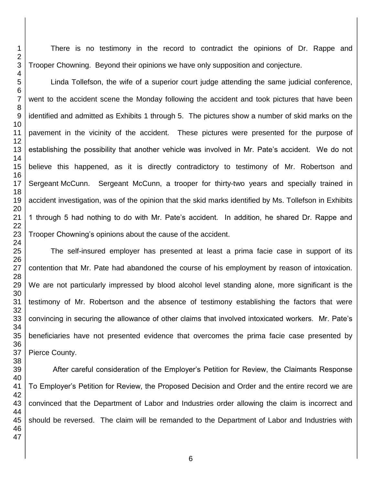There is no testimony in the record to contradict the opinions of Dr. Rappe and Trooper Chowning. Beyond their opinions we have only supposition and conjecture.

Linda Tollefson, the wife of a superior court judge attending the same judicial conference, went to the accident scene the Monday following the accident and took pictures that have been identified and admitted as Exhibits 1 through 5. The pictures show a number of skid marks on the pavement in the vicinity of the accident. These pictures were presented for the purpose of establishing the possibility that another vehicle was involved in Mr. Pate's accident. We do not believe this happened, as it is directly contradictory to testimony of Mr. Robertson and Sergeant McCunn. Sergeant McCunn, a trooper for thirty-two years and specially trained in accident investigation, was of the opinion that the skid marks identified by Ms. Tollefson in Exhibits 1 through 5 had nothing to do with Mr. Pate's accident. In addition, he shared Dr. Rappe and Trooper Chowning's opinions about the cause of the accident.

The self-insured employer has presented at least a prima facie case in support of its contention that Mr. Pate had abandoned the course of his employment by reason of intoxication. We are not particularly impressed by blood alcohol level standing alone, more significant is the testimony of Mr. Robertson and the absence of testimony establishing the factors that were convincing in securing the allowance of other claims that involved intoxicated workers. Mr. Pate's beneficiaries have not presented evidence that overcomes the prima facie case presented by Pierce County.

 After careful consideration of the Employer's Petition for Review, the Claimants Response To Employer's Petition for Review, the Proposed Decision and Order and the entire record we are convinced that the Department of Labor and Industries order allowing the claim is incorrect and should be reversed. The claim will be remanded to the Department of Labor and Industries with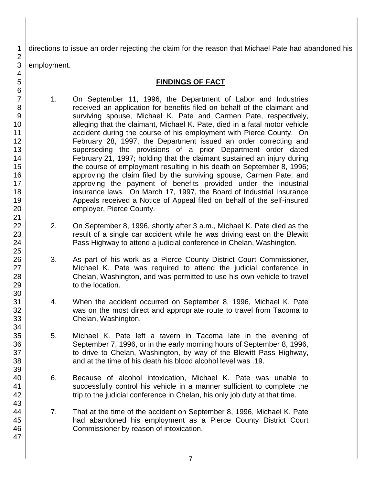directions to issue an order rejecting the claim for the reason that Michael Pate had abandoned his

employment.

# **FINDINGS OF FACT**

- 1. On September 11, 1996, the Department of Labor and Industries received an application for benefits filed on behalf of the claimant and surviving spouse, Michael K. Pate and Carmen Pate, respectively, alleging that the claimant, Michael K. Pate, died in a fatal motor vehicle accident during the course of his employment with Pierce County. On February 28, 1997, the Department issued an order correcting and superseding the provisions of a prior Department order dated February 21, 1997; holding that the claimant sustained an injury during the course of employment resulting in his death on September 8, 1996; approving the claim filed by the surviving spouse, Carmen Pate; and approving the payment of benefits provided under the industrial insurance laws. On March 17, 1997, the Board of Industrial Insurance Appeals received a Notice of Appeal filed on behalf of the self-insured employer, Pierce County.
- 2. On September 8, 1996, shortly after 3 a.m., Michael K. Pate died as the result of a single car accident while he was driving east on the Blewitt Pass Highway to attend a judicial conference in Chelan, Washington.
- 3. As part of his work as a Pierce County District Court Commissioner, Michael K. Pate was required to attend the judicial conference in Chelan, Washington, and was permitted to use his own vehicle to travel to the location.
- 4. When the accident occurred on September 8, 1996, Michael K. Pate was on the most direct and appropriate route to travel from Tacoma to Chelan, Washington.
- 5. Michael K. Pate left a tavern in Tacoma late in the evening of September 7, 1996, or in the early morning hours of September 8, 1996, to drive to Chelan, Washington, by way of the Blewitt Pass Highway, and at the time of his death his blood alcohol level was .19.
- 6. Because of alcohol intoxication, Michael K. Pate was unable to successfully control his vehicle in a manner sufficient to complete the trip to the judicial conference in Chelan, his only job duty at that time.
- 7. That at the time of the accident on September 8, 1996, Michael K. Pate had abandoned his employment as a Pierce County District Court Commissioner by reason of intoxication.